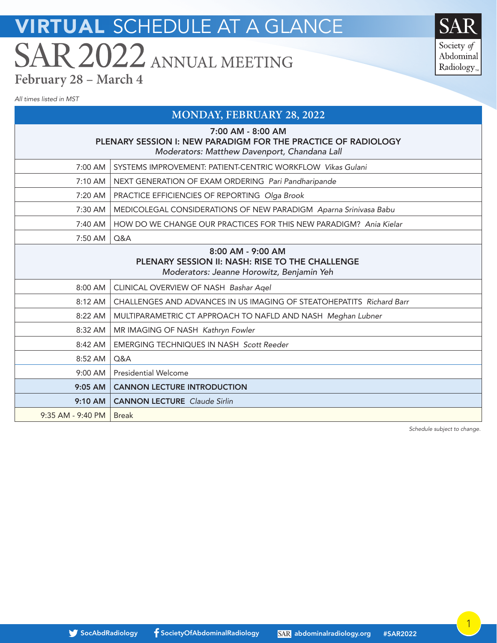Society of Abdominal Radiology<sub>r</sub>

*All times listed in MST*

### **MONDAY, FEBRUARY 28, 2022**

7:00 AM 8:00 AM

| $1.00$ AM - 0.00 AM<br>PLENARY SESSION I: NEW PARADIGM FOR THE PRACTICE OF RADIOLOGY<br>Moderators: Matthew Davenport, Chandana Lall |                                                                                                                   |  |
|--------------------------------------------------------------------------------------------------------------------------------------|-------------------------------------------------------------------------------------------------------------------|--|
| $7:00 \, \text{AM}$                                                                                                                  | SYSTEMS IMPROVEMENT: PATIENT-CENTRIC WORKFLOW Vikas Gulani                                                        |  |
| $7:10$ AM $\parallel$                                                                                                                | NEXT GENERATION OF EXAM ORDERING Pari Pandharipande                                                               |  |
| 7:20 AM                                                                                                                              | PRACTICE EFFICIENCIES OF REPORTING Olga Brook                                                                     |  |
| 7:30 AM                                                                                                                              | MEDICOLEGAL CONSIDERATIONS OF NEW PARADIGM Aparna Srinivasa Babu                                                  |  |
| 7:40 AM                                                                                                                              | HOW DO WE CHANGE OUR PRACTICES FOR THIS NEW PARADIGM? Anja Kielar                                                 |  |
| 7:50 AM $\mid$                                                                                                                       | Q&A                                                                                                               |  |
|                                                                                                                                      | 8:00 AM - 9:00 AM<br>PLENARY SESSION II: NASH: RISE TO THE CHALLENGE<br>Moderators: Jeanne Horowitz, Benjamin Yeh |  |
| $8:00$ AM $\vert$                                                                                                                    | CLINICAL OVERVIEW OF NASH Bashar Agel                                                                             |  |

8:12 AM CHALLENGES AND ADVANCES IN US IMAGING OF STEATOHEPATITS *Richard Barr*

8:22 AM | MULTIPARAMETRIC CT APPROACH TO NAFLD AND NASH *Meghan Lubner* 

8:32 AM | MR IMAGING OF NASH Kathryn Fowler

9:05 AM CANNON LECTURE INTRODUCTION 9:10 AM | CANNON LECTURE *Claude Sirlin* 

8:52 AM | Q&A

9:35 AM - 9:40 PM | Break

9:00 AM | Presidential Welcome

8:42 AM EMERGING TECHNIQUES IN NASH *Scott Reeder*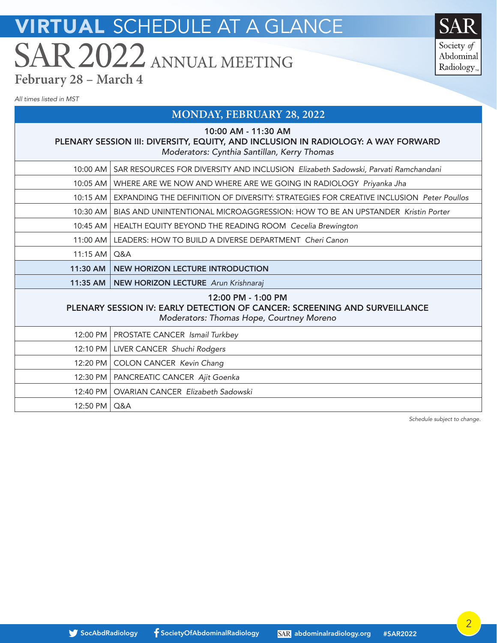Society of Abdominal Radiology<sub>r</sub>

*All times listed in MST*

### **MONDAY, FEBRUARY 28, 2022**

10:00 AM - 11:30 AM

### PLENARY SESSION III: DIVERSITY, EQUITY, AND INCLUSION IN RADIOLOGY: A WAY FORWARD *Moderators: Cynthia Santillan, Kerry Thomas*

| 10:00 AM       | SAR RESOURCES FOR DIVERSITY AND INCLUSION Elizabeth Sadowski, Parvati Ramchandani                                                           |
|----------------|---------------------------------------------------------------------------------------------------------------------------------------------|
| 10:05 AM       | WHERE ARE WE NOW AND WHERE ARE WE GOING IN RADIOLOGY Priyanka Jha                                                                           |
| 10:15 AM       | EXPANDING THE DEFINITION OF DIVERSITY: STRATEGIES FOR CREATIVE INCLUSION Peter Poullos                                                      |
| 10:30 AM       | BIAS AND UNINTENTIONAL MICROAGGRESSION: HOW TO BE AN UPSTANDER Kristin Porter                                                               |
|                | 10:45 AM   HEALTH EQUITY BEYOND THE READING ROOM Cecelia Brewington                                                                         |
| 11:00 AM       | LEADERS: HOW TO BUILD A DIVERSE DEPARTMENT Cheri Canon                                                                                      |
| 11:15 AM       | $\Omega$ &A                                                                                                                                 |
| 11:30 AM       | <b>NEW HORIZON LECTURE INTRODUCTION</b>                                                                                                     |
|                | 11:35 AM   NEW HORIZON LECTURE Arun Krishnaraj                                                                                              |
|                | 12:00 PM - 1:00 PM<br>PLENARY SESSION IV: EARLY DETECTION OF CANCER: SCREENING AND SURVEILLANCE<br>Moderators: Thomas Hope, Courtney Moreno |
|                | 12:00 PM   PROSTATE CANCER Ismail Turkbey                                                                                                   |
|                | 12:10 PM   LIVER CANCER Shuchi Rodgers                                                                                                      |
|                | 12:20 PM   COLON CANCER Kevin Chang                                                                                                         |
|                | 12:30 PM   PANCREATIC CANCER Ajit Goenka                                                                                                    |
| 12:40 PM       | OVARIAN CANCER Elizabeth Sadowski                                                                                                           |
| 12:50 PM   Q&A |                                                                                                                                             |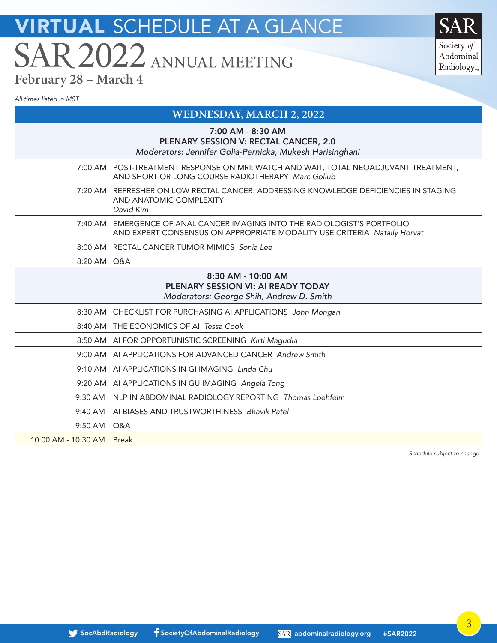Society of Abdominal Radiology<sub>®</sub>

*All times listed in MST*

### **WEDNESDAY, MARCH 2, 2022**

|                     | 7:00 AM - 8:30 AM<br>PLENARY SESSION V: RECTAL CANCER, 2.0<br>Moderators: Jennifer Golia-Pernicka, Mukesh Harisinghani                        |
|---------------------|-----------------------------------------------------------------------------------------------------------------------------------------------|
|                     | 7:00 AM   POST-TREATMENT RESPONSE ON MRI: WATCH AND WAIT, TOTAL NEOADJUVANT TREATMENT,<br>AND SHORT OR LONG COURSE RADIOTHERAPY Marc Gollub   |
|                     | 7:20 AM   REFRESHER ON LOW RECTAL CANCER: ADDRESSING KNOWLEDGE DEFICIENCIES IN STAGING<br>AND ANATOMIC COMPLEXITY<br>David Kim                |
| $7:40$ AM $\vert$   | EMERGENCE OF ANAL CANCER IMAGING INTO THE RADIOLOGIST'S PORTFOLIO<br>AND EXPERT CONSENSUS ON APPROPRIATE MODALITY USE CRITERIA Natally Horvat |
|                     | 8:00 AM   RECTAL CANCER TUMOR MIMICS Sonia Lee                                                                                                |
| $8:20$ AM           | Q&A                                                                                                                                           |
|                     | 8:30 AM - 10:00 AM<br>PLENARY SESSION VI: AI READY TODAY<br>Moderators: George Shih, Andrew D. Smith                                          |
| $8:30$ AM           | CHECKLIST FOR PURCHASING AI APPLICATIONS John Mongan                                                                                          |
| $8:40$ AM $\vert$   | THE ECONOMICS OF AI Tessa Cook                                                                                                                |
|                     | 8:50 AM   AI FOR OPPORTUNISTIC SCREENING Kirti Magudia                                                                                        |
| $9:00$ AM           | AI APPLICATIONS FOR ADVANCED CANCER Andrew Smith                                                                                              |
|                     | 9:10 AM   AI APPLICATIONS IN GI IMAGING Linda Chu                                                                                             |
| $9:20$ AM           | AI APPLICATIONS IN GU IMAGING Angela Tong                                                                                                     |
| 9:30 AM             | NLP IN ABDOMINAL RADIOLOGY REPORTING Thomas Loehfelm                                                                                          |
| 9:40 AM             | AI BIASES AND TRUSTWORTHINESS Bhavik Patel                                                                                                    |
| 9:50 AM             | Q&A                                                                                                                                           |
| 10:00 AM - 10:30 AM | <b>Break</b>                                                                                                                                  |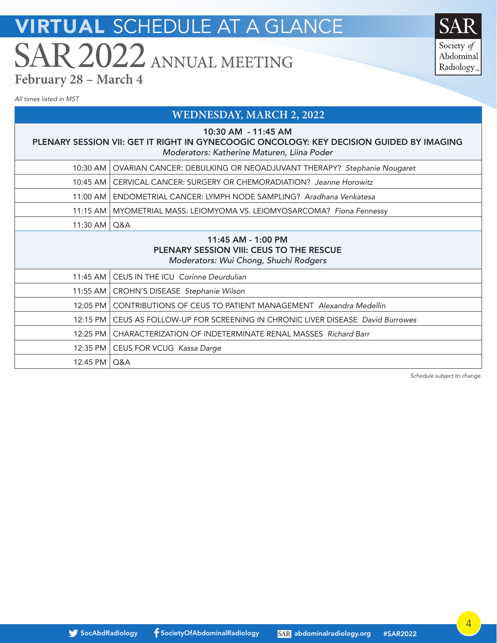Society of Abdominal Radiology<sub>r</sub>

*All times listed in MST*

12:45 PM | Q&A

### **WEDNESDAY, MARCH 2, 2022**

10:30 AM - 11:45 AM

### PLENARY SESSION VII: GET IT RIGHT IN GYNECOOGIC ONCOLOGY: KEY DECISION GUIDED BY IMAGING *Moderators: Katherine Maturen, Liina Poder*

|                | 10:30 AM   OVARIAN CANCER: DEBULKING OR NEOADJUVANT THERAPY? Stephanie Nougaret                                |
|----------------|----------------------------------------------------------------------------------------------------------------|
|                | 10:45 AM   CERVICAL CANCER: SURGERY OR CHEMORADIATION? Jeanne Horowitz                                         |
| $11:00$ AM     | ENDOMETRIAL CANCER: LYMPH NODE SAMPLING? Aradhana Venkatesa                                                    |
|                | 11:15 AM   MYOMETRIAL MASS: LEIOMYOMA VS. LEIOMYOSARCOMA? Fiona Fennessy                                       |
| 11:30 AM   Q&A |                                                                                                                |
|                | 11:45 AM - 1:00 PM<br><b>PLENARY SESSION VIII: CEUS TO THE RESCUE</b><br>Moderators: Wui Chong, Shuchi Rodgers |
|                | 11:45 AM   CEUS IN THE ICU Corinne Deurdulian                                                                  |
|                | 11:55 AM   CROHN'S DISEASE Stephanie Wilson                                                                    |
|                |                                                                                                                |
| 12:05 PM       | <b>CONTRIBUTIONS OF CEUS TO PATIENT MANAGEMENT Alexandra Medellin</b>                                          |
|                | 12:15 PM   CEUS AS FOLLOW-UP FOR SCREENING IN CHRONIC LIVER DISEASE David Burrowes                             |
|                | 12:25 PM   CHARACTERIZATION OF INDETERMINATE RENAL MASSES Richard Barr                                         |

12:35 PM CEUS FOR VCUG *Kassa Darge*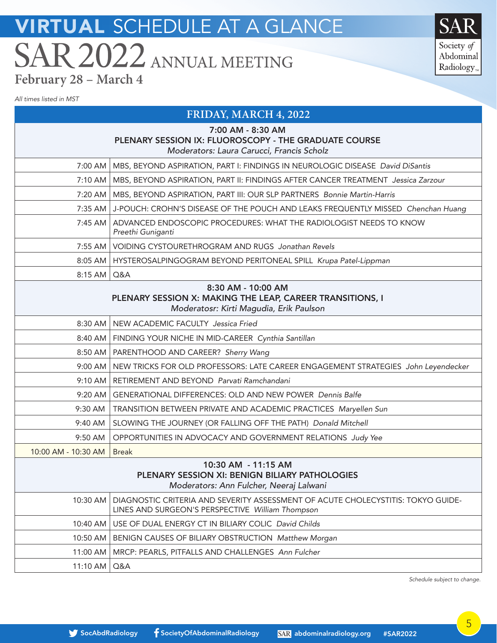Society of Abdominal Radiology<sub>r</sub>

*All times listed in MST*

### **FRIDAY, MARCH 4, 2022**

| 7:00 AM - 8:30 AM |  |  |  |
|-------------------|--|--|--|
|-------------------|--|--|--|

#### PLENARY SESSION IX: FLUOROSCOPY - THE GRADUATE COURSE

*Moderators: Laura Carucci, Francis Scholz*

| 7:00 AM               | MBS, BEYOND ASPIRATION, PART I: FINDINGS IN NEUROLOGIC DISEASE David DiSantis                                                        |
|-----------------------|--------------------------------------------------------------------------------------------------------------------------------------|
| 7:10 AM               | MBS, BEYOND ASPIRATION, PART II: FINDINGS AFTER CANCER TREATMENT Jessica Zarzour                                                     |
| 7:20 AM               | MBS, BEYOND ASPIRATION, PART III: OUR SLP PARTNERS Bonnie Martin-Harris                                                              |
| 7:35 AM               | J-POUCH: CROHN'S DISEASE OF THE POUCH AND LEAKS FREQUENTLY MISSED Chenchan Huang                                                     |
| $7:45$ AM             | ADVANCED ENDOSCOPIC PROCEDURES: WHAT THE RADIOLOGIST NEEDS TO KNOW<br>Preethi Guniganti                                              |
| 7:55 AM               | VOIDING CYSTOURETHROGRAM AND RUGS Jonathan Revels                                                                                    |
| $8:05$ AM             | HYSTEROSALPINGOGRAM BEYOND PERITONEAL SPILL Krupa Patel-Lippman                                                                      |
| $8:15$ AM             | Q&A                                                                                                                                  |
|                       | 8:30 AM - 10:00 AM<br>PLENARY SESSION X: MAKING THE LEAP, CAREER TRANSITIONS, I<br>Moderatosr: Kirti Magudia, Erik Paulson           |
| 8:30 AM               | NEW ACADEMIC FACULTY Jessica Fried                                                                                                   |
| $8:40$ AM             | FINDING YOUR NICHE IN MID-CAREER Cynthia Santillan                                                                                   |
| $8:50$ AM             | PARENTHOOD AND CAREER? Sherry Wang                                                                                                   |
| $9:00$ AM             | NEW TRICKS FOR OLD PROFESSORS: LATE CAREER ENGAGEMENT STRATEGIES John Leyendecker                                                    |
| 9:10 AM               | RETIREMENT AND BEYOND Parvati Ramchandani                                                                                            |
| 9:20 AM               | <b>GENERATIONAL DIFFERENCES: OLD AND NEW POWER Dennis Balfe</b>                                                                      |
| 9:30 AM               | TRANSITION BETWEEN PRIVATE AND ACADEMIC PRACTICES Maryellen Sun                                                                      |
| 9:40 AM               | SLOWING THE JOURNEY (OR FALLING OFF THE PATH) Donald Mitchell                                                                        |
| 9:50 AM               | OPPORTUNITIES IN ADVOCACY AND GOVERNMENT RELATIONS Judy Yee                                                                          |
| 10:00 AM - 10:30 AM   | <b>Break</b>                                                                                                                         |
|                       | 10:30 AM - 11:15 AM<br>PLENARY SESSION XI: BENIGN BILIARY PATHOLOGIES<br>Moderators: Ann Fulcher, Neeraj Lalwani                     |
| 10:30 AM              | DIAGNOSTIC CRITERIA AND SEVERITY ASSESSMENT OF ACUTE CHOLECYSTITIS: TOKYO GUIDE-<br>LINES AND SURGEON'S PERSPECTIVE William Thompson |
| 10:40 AM              | USE OF DUAL ENERGY CT IN BILIARY COLIC David Childs                                                                                  |
| 10:50 AM $\mid$       | BENIGN CAUSES OF BILIARY OBSTRUCTION Matthew Morgan                                                                                  |
| 11:00 AM              | MRCP: PEARLS, PITFALLS AND CHALLENGES Ann Fulcher                                                                                    |
| $11:10$ AM $\mid$ Q&A |                                                                                                                                      |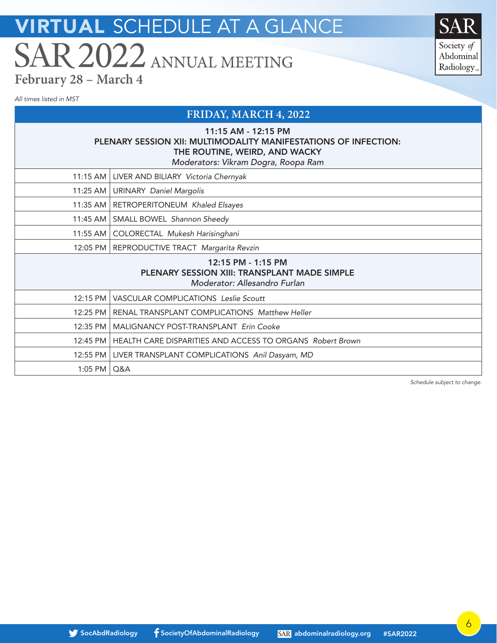Society of Abdominal Radiology<sub>r</sub>

*All times listed in MST*

### **FRIDAY, MARCH 4, 2022**

### 11:15 AM - 12:15 PM PLENARY SESSION XII: MULTIMODALITY MANIFESTATIONS OF INFECTION: THE ROUTINE, WEIRD, AND WACKY *Moderators: Vikram Dogra, Roopa Ram*

| <u>NOUTE ALOIS. VIRIAIII DOUIA, ROODA RAIII</u> |           |                                                                           |
|-------------------------------------------------|-----------|---------------------------------------------------------------------------|
|                                                 |           | 11:15 AM   LIVER AND BILIARY Victoria Chernyak                            |
|                                                 |           | 11:25 AM   URINARY Daniel Margolis                                        |
|                                                 |           | 11:35 AM   RETROPERITONEUM Khaled Elsayes                                 |
|                                                 |           | 11:45 AM   SMALL BOWEL Shannon Sheedy                                     |
|                                                 |           | 11:55 AM   COLORECTAL Mukesh Harisinghani                                 |
|                                                 |           | 12:05 PM   REPRODUCTIVE TRACT Margarita Revzin                            |
|                                                 |           | 12:15 PM - 1:15 PM<br><b>PLENARY SESSION XIII: TRANSPLANT MADE SIMPLE</b> |
|                                                 |           | Moderator: Allesandro Furlan                                              |
|                                                 |           | 12:15 PM   VASCULAR COMPLICATIONS Leslie Scoutt                           |
|                                                 |           | 12:25 PM   RENAL TRANSPLANT COMPLICATIONS Matthew Heller                  |
|                                                 | 12:35 PM  | MALIGNANCY POST-TRANSPLANT Erin Cooke                                     |
|                                                 |           | 12:45 PM   HEALTH CARE DISPARITIES AND ACCESS TO ORGANS Robert Brown      |
|                                                 |           | 12:55 PM   LIVER TRANSPLANT COMPLICATIONS Anil Dasyam, MD                 |
|                                                 | $1:05$ PM | Q&A                                                                       |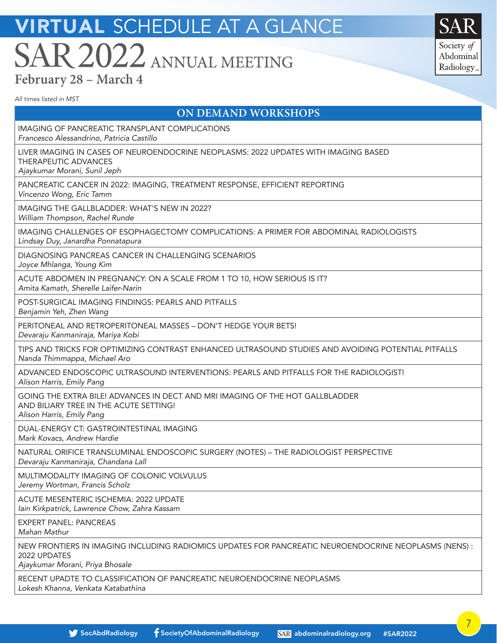Society of Abdominal Radiology<sub>™</sub>

*All times listed in MST*

### **ON DEMAND WORKSHOPS**

| IMAGING OF PANCREATIC TRANSPLANT COMPLICATIONS<br>Francesco Alessandrino, Patricia Castillo                                                              |
|----------------------------------------------------------------------------------------------------------------------------------------------------------|
| LIVER IMAGING IN CASES OF NEUROENDOCRINE NEOPLASMS: 2022 UPDATES WITH IMAGING BASED<br>THERAPEUTIC ADVANCES<br>Ajaykumar Morani, Sunil Jeph              |
| PANCREATIC CANCER IN 2022: IMAGING, TREATMENT RESPONSE, EFFICIENT REPORTING<br>Vincenzo Wong, Eric Tamm                                                  |
| IMAGING THE GALLBLADDER: WHAT'S NEW IN 2022?<br>William Thompson, Rachel Runde                                                                           |
| IMAGING CHALLENGES OF ESOPHAGECTOMY COMPLICATIONS: A PRIMER FOR ABDOMINAL RADIOLOGISTS<br>Lindsay Duy, Janardha Ponnatapura                              |
| DIAGNOSING PANCREAS CANCER IN CHALLENGING SCENARIOS<br>Joyce Mhlanga, Young Kim                                                                          |
| ACUTE ABDOMEN IN PREGNANCY: ON A SCALE FROM 1 TO 10, HOW SERIOUS IS IT?<br>Amita Kamath, Sherelle Laifer-Narin                                           |
| POST-SURGICAL IMAGING FINDINGS: PEARLS AND PITFALLS<br>Benjamin Yeh, Zhen Wang                                                                           |
| PERITONEAL AND RETROPERITONEAL MASSES - DON'T HEDGE YOUR BETS!<br>Devaraju Kanmaniraja, Mariya Kobi                                                      |
| TIPS AND TRICKS FOR OPTIMIZING CONTRAST ENHANCED ULTRASOUND STUDIES AND AVOIDING POTENTIAL PITFALLS<br>Nanda Thimmappa, Michael Aro                      |
| ADVANCED ENDOSCOPIC ULTRASOUND INTERVENTIONS: PEARLS AND PITFALLS FOR THE RADIOLOGIST!<br>Alison Harris, Emily Pang                                      |
| GOING THE EXTRA BILE! ADVANCES IN DECT AND MRI IMAGING OF THE HOT GALLBLADDER<br>AND BILIARY TREE IN THE ACUTE SETTING!<br>Alison Harris, Emily Pang     |
| DUAL-ENERGY CT: GASTROINTESTINAL IMAGING<br>Mark Kovacs, Andrew Hardie                                                                                   |
| NATURAL ORIFICE TRANSLUMINAL ENDOSCOPIC SURGERY (NOTES) - THE RADIOLOGIST PERSPECTIVE<br>Devaraju Kanmaniraja, Chandana Lall                             |
| MULTIMODALITY IMAGING OF COLONIC VOLVULUS<br>Jeremy Wortman, Francis Scholz                                                                              |
| ACUTE MESENTERIC ISCHEMIA: 2022 UPDATE<br>lain Kirkpatrick, Lawrence Chow, Zahra Kassam                                                                  |
| <b>EXPERT PANEL: PANCREAS</b><br>Mahan Mathur                                                                                                            |
| NEW FRONTIERS IN IMAGING INCLUDING RADIOMICS UPDATES FOR PANCREATIC NEUROENDOCRINE NEOPLASMS (NENS) :<br>2022 UPDATES<br>Ajaykumar Morani, Priya Bhosale |
| RECENT UPADTE TO CLASSIFICATION OF PANCREATIC NEUROENDOCRINE NEOPLASMS                                                                                   |

*Lokesh Khanna, Venkata Katabathina*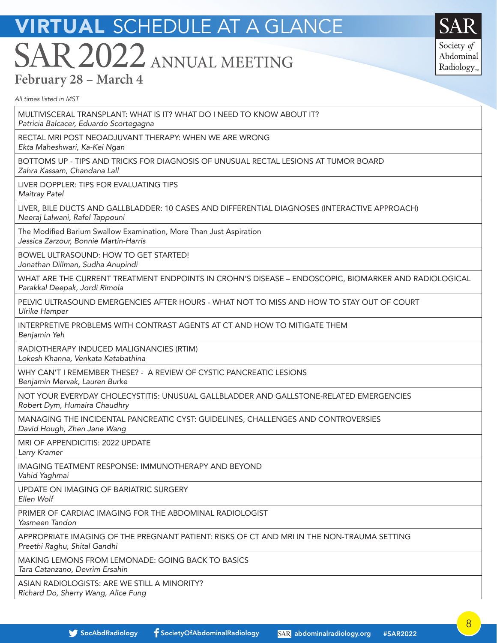Society of Abdominal Radiology<sub>r</sub>

**TYPOGRAPHY**

Primary Secondary Avenir Family

*All times listed in MST*

MULTIVISCERAL TRANSPLANT: WHAT IS IT? WHAT DO I NEED TO KNOW ABOUT IT?

*Patricia Balcacer, Eduardo Scortegagna*

RECTAL MRI POST NEOADJUVANT THERAPY: WHEN WE ARE WRONG

*Ekta Maheshwari, Ka-Kei Ngan*

BOTTOMS UP - TIPS AND TRICKS FOR DIAGNOSIS OF UNUSUAL RECTAL LESIONS AT TUMOR BOARD *Zahra Kassam, Chandana Lall*

LIVER DOPPLER: TIPS FOR EVALUATING TIPS

*Maitray Patel*

LIVER, BILE DUCTS AND GALLBLADDER: 10 CASES AND DIFFERENTIAL DIAGNOSES (INTERACTIVE APPROACH) *Neeraj Lalwani, Rafel Tappouni*

The Modified Barium Swallow Examination, More Than Just Aspiration *Jessica Zarzour, Bonnie Martin-Harris*

BOWEL ULTRASOUND: HOW TO GET STARTED! *Jonathan Dillman, Sudha Anupindi*

WHAT ARE THE CURRENT TREATMENT ENDPOINTS IN CROHN'S DISEASE – ENDOSCOPIC, BIOMARKER AND RADIOLOGICAL *Parakkal Deepak, Jordi Rimola*

PELVIC ULTRASOUND EMERGENCIES AFTER HOURS - WHAT NOT TO MISS AND HOW TO STAY OUT OF COURT *Ulrike Hamper*

INTERPRETIVE PROBLEMS WITH CONTRAST AGENTS AT CT AND HOW TO MITIGATE THEM *Benjamin Yeh*

RADIOTHERAPY INDUCED MALIGNANCIES (RTIM) *Lokesh Khanna, Venkata Katabathina*

WHY CAN'T I REMEMBER THESE? - A REVIEW OF CYSTIC PANCREATIC LESIONS

*Benjamin Mervak, Lauren Burke*

NOT YOUR EVERYDAY CHOLECYSTITIS: UNUSUAL GALLBLADDER AND GALLSTONE-RELATED EMERGENCIES *Robert Dym, Humaira Chaudhry*

MANAGING THE INCIDENTAL PANCREATIC CYST: GUIDELINES, CHALLENGES AND CONTROVERSIES *David Hough, Zhen Jane Wang*

MRI OF APPENDICITIS: 2022 UPDATE

*Larry Kramer*

IMAGING TEATMENT RESPONSE: IMMUNOTHERAPY AND BEYOND

*Vahid Yaghmai*

UPDATE ON IMAGING OF BARIATRIC SURGERY

*Ellen Wolf*

PRIMER OF CARDIAC IMAGING FOR THE ABDOMINAL RADIOLOGIST

*Yasmeen Tandon*

APPROPRIATE IMAGING OF THE PREGNANT PATIENT: RISKS OF CT AND MRI IN THE NON-TRAUMA SETTING *Preethi Raghu, Shital Gandhi*

MAKING LEMONS FROM LEMONADE: GOING BACK TO BASICS *Tara Catanzano, Devrim Ersahin*

ASIAN RADIOLOGISTS: ARE WE STILL A MINORITY? *Richard Do, Sherry Wang, Alice Fung*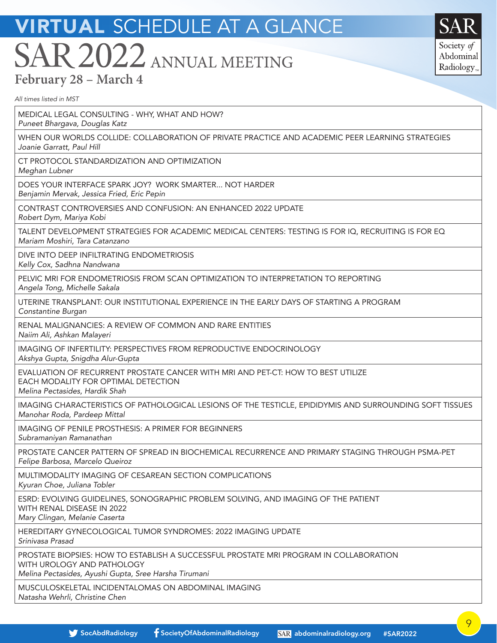Society of Abdominal Radiology<sub>r</sub>

Primary Secondary Avenir Family

*All times listed in MST*

MEDICAL LEGAL CONSULTING - WHY, WHAT AND HOW?

*Puneet Bhargava, Douglas Katz*

WHEN OUR WORLDS COLLIDE: COLLABORATION OF PRIVATE PRACTICE AND ACADEMIC PEER LEARNING STRATEGIES *Joanie Garratt, Paul Hill*

CT PROTOCOL STANDARDIZATION AND OPTIMIZATION

*Meghan Lubner*

DOES YOUR INTERFACE SPARK JOY? WORK SMARTER... NOT HARDER *Benjamin Mervak, Jessica Fried, Eric Pepin*

CONTRAST CONTROVERSIES AND CONFUSION: AN ENHANCED 2022 UPDATE

*Robert Dym, Mariya Kobi*

**TYPOGRAPHY** TALENT DEVELOPMENT STRATEGIES FOR ACADEMIC MEDICAL CENTERS: TESTING IS FOR IQ, RECRUITING IS FOR EQ *Mariam Moshiri, Tara Catanzano*

DIVE INTO DEEP INFILTRATING ENDOMETRIOSIS *Kelly Cox, Sadhna Nandwana*

PELVIC MRI FOR ENDOMETRIOSIS FROM SCAN OPTIMIZATION TO INTERPRETATION TO REPORTING *Angela Tong, Michelle Sakala*

UTERINE TRANSPLANT: OUR INSTITUTIONAL EXPERIENCE IN THE EARLY DAYS OF STARTING A PROGRAM *Constantine Burgan*

RENAL MALIGNANCIES: A REVIEW OF COMMON AND RARE ENTITIES *Naiim Ali, Ashkan Malayeri*

IMAGING OF INFERTILITY: PERSPECTIVES FROM REPRODUCTIVE ENDOCRINOLOGY *Akshya Gupta, Snigdha Alur-Gupta*

EVALUATION OF RECURRENT PROSTATE CANCER WITH MRI AND PET-CT: HOW TO BEST UTILIZE EACH MODALITY FOR OPTIMAL DETECTION

*Melina Pectasides, Hardik Shah*

IMAGING CHARACTERISTICS OF PATHOLOGICAL LESIONS OF THE TESTICLE, EPIDIDYMIS AND SURROUNDING SOFT TISSUES *Manohar Roda, Pardeep Mittal*

IMAGING OF PENILE PROSTHESIS: A PRIMER FOR BEGINNERS

*Subramaniyan Ramanathan*

PROSTATE CANCER PATTERN OF SPREAD IN BIOCHEMICAL RECURRENCE AND PRIMARY STAGING THROUGH PSMA-PET *Felipe Barbosa, Marcelo Queiroz*

MULTIMODALITY IMAGING OF CESAREAN SECTION COMPLICATIONS *Kyuran Choe, Juliana Tobler*

ESRD: EVOLVING GUIDELINES, SONOGRAPHIC PROBLEM SOLVING, AND IMAGING OF THE PATIENT WITH RENAL DISEASE IN 2022

*Mary Clingan, Melanie Caserta*

HEREDITARY GYNECOLOGICAL TUMOR SYNDROMES: 2022 IMAGING UPDATE *Srinivasa Prasad*

PROSTATE BIOPSIES: HOW TO ESTABLISH A SUCCESSFUL PROSTATE MRI PROGRAM IN COLLABORATION WITH UROLOGY AND PATHOLOGY

*Melina Pectasides, Ayushi Gupta, Sree Harsha Tirumani*

MUSCULOSKELETAL INCIDENTALOMAS ON ABDOMINAL IMAGING *Natasha Wehrli, Christine Chen*